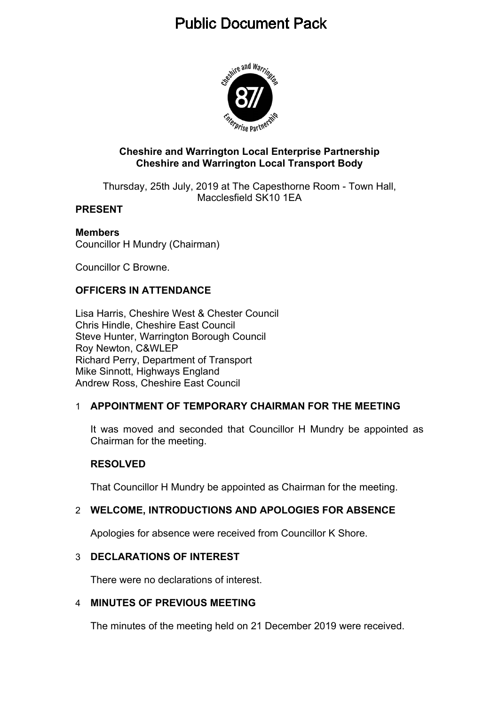# **Public Document Pack**



### **Cheshire and Warrington Local Enterprise Partnership Cheshire and Warrington Local Transport Body**

Thursday, 25th July, 2019 at The Capesthorne Room - Town Hall, Macclesfield SK10 1EA

## **PRESENT**

# **Members**

Councillor H Mundry (Chairman)

Councillor C Browne.

# **OFFICERS IN ATTENDANCE**

Lisa Harris, Cheshire West & Chester Council Chris Hindle, Cheshire East Council Steve Hunter, Warrington Borough Council Roy Newton, C&WLEP Richard Perry, Department of Transport Mike Sinnott, Highways England Andrew Ross, Cheshire East Council

# 1 **APPOINTMENT OF TEMPORARY CHAIRMAN FOR THE MEETING**

It was moved and seconded that Councillor H Mundry be appointed as Chairman for the meeting.

# **RESOLVED**

That Councillor H Mundry be appointed as Chairman for the meeting.

# 2 **WELCOME, INTRODUCTIONS AND APOLOGIES FOR ABSENCE**

Apologies for absence were received from Councillor K Shore.

# 3 **DECLARATIONS OF INTEREST**

There were no declarations of interest.

#### 4 **MINUTES OF PREVIOUS MEETING**

The minutes of the meeting held on 21 December 2019 were received.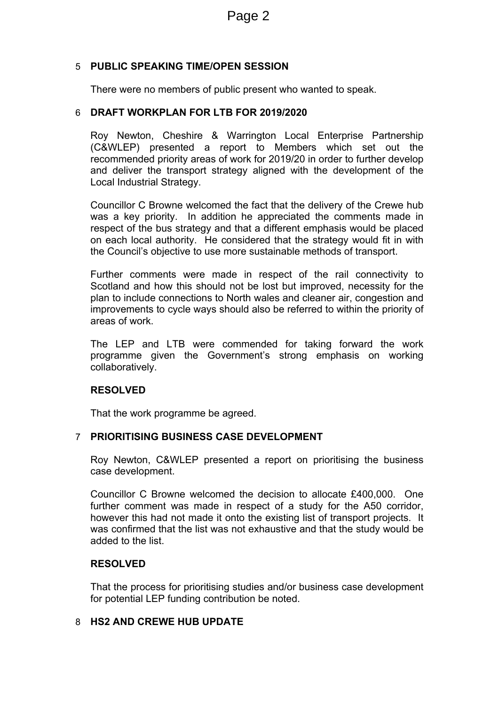## 5 **PUBLIC SPEAKING TIME/OPEN SESSION**

There were no members of public present who wanted to speak.

#### 6 **DRAFT WORKPLAN FOR LTB FOR 2019/2020**

Roy Newton, Cheshire & Warrington Local Enterprise Partnership (C&WLEP) presented a report to Members which set out the recommended priority areas of work for 2019/20 in order to further develop and deliver the transport strategy aligned with the development of the Local Industrial Strategy.

Councillor C Browne welcomed the fact that the delivery of the Crewe hub was a key priority. In addition he appreciated the comments made in respect of the bus strategy and that a different emphasis would be placed on each local authority. He considered that the strategy would fit in with the Council's objective to use more sustainable methods of transport.

Further comments were made in respect of the rail connectivity to Scotland and how this should not be lost but improved, necessity for the plan to include connections to North wales and cleaner air, congestion and improvements to cycle ways should also be referred to within the priority of areas of work.

The LEP and LTB were commended for taking forward the work programme given the Government's strong emphasis on working collaboratively.

#### **RESOLVED**

That the work programme be agreed.

#### 7 **PRIORITISING BUSINESS CASE DEVELOPMENT**

Roy Newton, C&WLEP presented a report on prioritising the business case development.

Councillor C Browne welcomed the decision to allocate £400,000. One further comment was made in respect of a study for the A50 corridor, however this had not made it onto the existing list of transport projects. It was confirmed that the list was not exhaustive and that the study would be added to the list.

### **RESOLVED**

That the process for prioritising studies and/or business case development for potential LEP funding contribution be noted.

#### 8 **HS2 AND CREWE HUB UPDATE**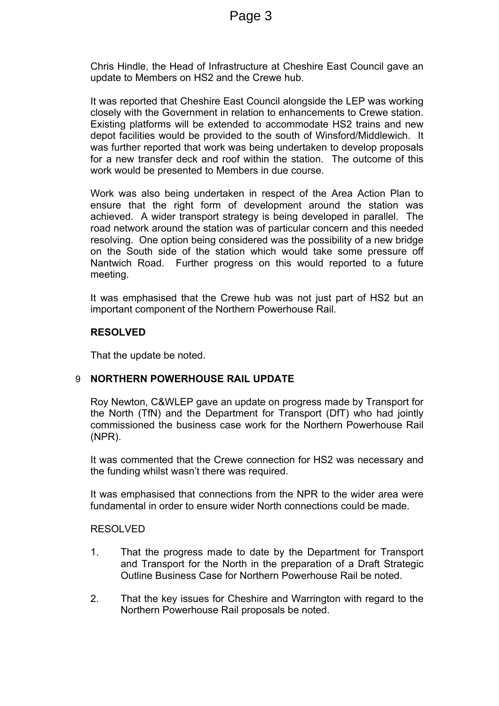Chris Hindle, the Head of Infrastructure at Cheshire East Council gave an update to Members on HS2 and the Crewe hub.

It was reported that Cheshire East Council alongside the LEP was working closely with the Government in relation to enhancements to Crewe station. Existing platforms will be extended to accommodate HS2 trains and new depot facilities would be provided to the south of Winsford/Middlewich. It was further reported that work was being undertaken to develop proposals for a new transfer deck and roof within the station. The outcome of this work would be presented to Members in due course.

Work was also being undertaken in respect of the Area Action Plan to ensure that the right form of development around the station was achieved. A wider transport strategy is being developed in parallel. The road network around the station was of particular concern and this needed resolving. One option being considered was the possibility of a new bridge on the South side of the station which would take some pressure off Nantwich Road. Further progress on this would reported to a future meeting.

It was emphasised that the Crewe hub was not just part of HS2 but an important component of the Northern Powerhouse Rail.

#### **RESOLVED**

That the update be noted.

#### 9 **NORTHERN POWERHOUSE RAIL UPDATE**

Roy Newton, C&WLEP gave an update on progress made by Transport for the North (TfN) and the Department for Transport (DfT) who had jointly commissioned the business case work for the Northern Powerhouse Rail (NPR).

It was commented that the Crewe connection for HS2 was necessary and the funding whilst wasn't there was required.

It was emphasised that connections from the NPR to the wider area were fundamental in order to ensure wider North connections could be made.

#### RESOLVED

- 1. That the progress made to date by the Department for Transport and Transport for the North in the preparation of a Draft Strategic Outline Business Case for Northern Powerhouse Rail be noted.
- 2. That the key issues for Cheshire and Warrington with regard to the Northern Powerhouse Rail proposals be noted.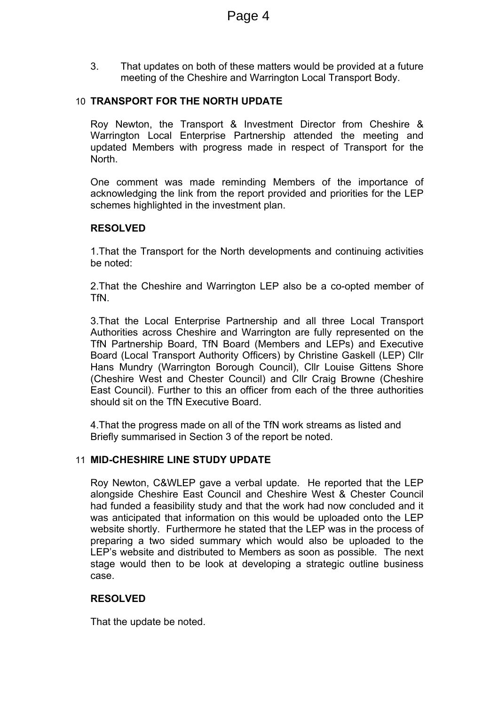3. That updates on both of these matters would be provided at a future meeting of the Cheshire and Warrington Local Transport Body.

## 10 **TRANSPORT FOR THE NORTH UPDATE**

Roy Newton, the Transport & Investment Director from Cheshire & Warrington Local Enterprise Partnership attended the meeting and updated Members with progress made in respect of Transport for the North.

One comment was made reminding Members of the importance of acknowledging the link from the report provided and priorities for the LEP schemes highlighted in the investment plan.

#### **RESOLVED**

1.That the Transport for the North developments and continuing activities be noted:

2.That the Cheshire and Warrington LEP also be a co-opted member of TfN.

3.That the Local Enterprise Partnership and all three Local Transport Authorities across Cheshire and Warrington are fully represented on the TfN Partnership Board, TfN Board (Members and LEPs) and Executive Board (Local Transport Authority Officers) by Christine Gaskell (LEP) Cllr Hans Mundry (Warrington Borough Council), Cllr Louise Gittens Shore (Cheshire West and Chester Council) and Cllr Craig Browne (Cheshire East Council). Further to this an officer from each of the three authorities should sit on the TfN Executive Board.

4.That the progress made on all of the TfN work streams as listed and Briefly summarised in Section 3 of the report be noted.

#### 11 **MID-CHESHIRE LINE STUDY UPDATE**

Roy Newton, C&WLEP gave a verbal update. He reported that the LEP alongside Cheshire East Council and Cheshire West & Chester Council had funded a feasibility study and that the work had now concluded and it was anticipated that information on this would be uploaded onto the LEP website shortly. Furthermore he stated that the LEP was in the process of preparing a two sided summary which would also be uploaded to the LEP's website and distributed to Members as soon as possible. The next stage would then to be look at developing a strategic outline business case.

#### **RESOLVED**

That the update be noted.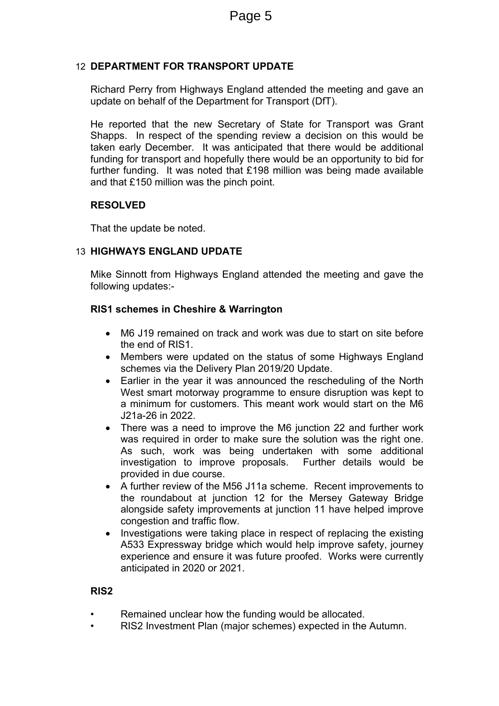## 12 **DEPARTMENT FOR TRANSPORT UPDATE**

Richard Perry from Highways England attended the meeting and gave an update on behalf of the Department for Transport (DfT).

He reported that the new Secretary of State for Transport was Grant Shapps. In respect of the spending review a decision on this would be taken early December. It was anticipated that there would be additional funding for transport and hopefully there would be an opportunity to bid for further funding. It was noted that £198 million was being made available and that £150 million was the pinch point.

#### **RESOLVED**

That the update be noted.

# 13 **HIGHWAYS ENGLAND UPDATE**

Mike Sinnott from Highways England attended the meeting and gave the following updates:-

## **RIS1 schemes in Cheshire & Warrington**

- M6 J19 remained on track and work was due to start on site before the end of RIS1.
- Members were updated on the status of some Highways England schemes via the Delivery Plan 2019/20 Update.
- Earlier in the year it was announced the rescheduling of the North West smart motorway programme to ensure disruption was kept to a minimum for customers. This meant work would start on the M6 J21a-26 in 2022.
- There was a need to improve the M6 junction 22 and further work was required in order to make sure the solution was the right one. As such, work was being undertaken with some additional investigation to improve proposals. Further details would be provided in due course.
- A further review of the M56 J11a scheme. Recent improvements to the roundabout at junction 12 for the Mersey Gateway Bridge alongside safety improvements at junction 11 have helped improve congestion and traffic flow.
- Investigations were taking place in respect of replacing the existing A533 Expressway bridge which would help improve safety, journey experience and ensure it was future proofed. Works were currently anticipated in 2020 or 2021.

#### **RIS2**

- Remained unclear how the funding would be allocated.
- RIS2 Investment Plan (major schemes) expected in the Autumn.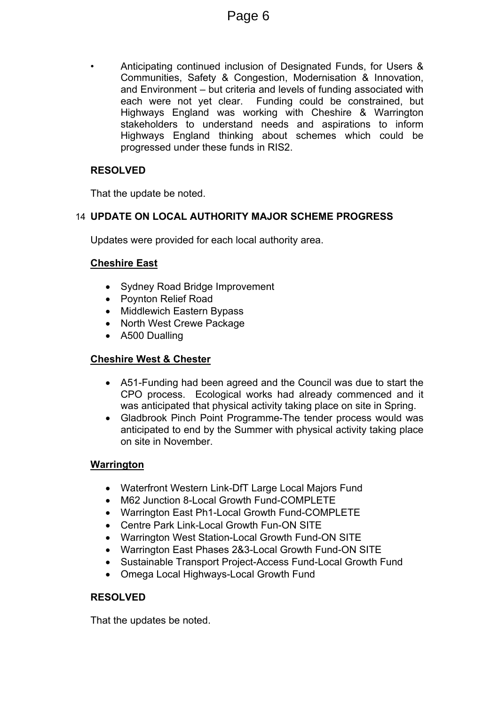• Anticipating continued inclusion of Designated Funds, for Users & Communities, Safety & Congestion, Modernisation & Innovation, and Environment – but criteria and levels of funding associated with each were not yet clear. Funding could be constrained, but Highways England was working with Cheshire & Warrington stakeholders to understand needs and aspirations to inform Highways England thinking about schemes which could be progressed under these funds in RIS2.

# **RESOLVED**

That the update be noted.

# 14 **UPDATE ON LOCAL AUTHORITY MAJOR SCHEME PROGRESS**

Updates were provided for each local authority area.

# **Cheshire East**

- Sydney Road Bridge Improvement
- Povnton Relief Road
- Middlewich Eastern Bypass
- North West Crewe Package
- A500 Dualling

# **Cheshire West & Chester**

- A51-Funding had been agreed and the Council was due to start the CPO process. Ecological works had already commenced and it was anticipated that physical activity taking place on site in Spring.
- Gladbrook Pinch Point Programme-The tender process would was anticipated to end by the Summer with physical activity taking place on site in November.

# **Warrington**

- Waterfront Western Link-DfT Large Local Majors Fund
- M62 Junction 8-Local Growth Fund-COMPLETE
- Warrington East Ph1-Local Growth Fund-COMPLETE
- Centre Park Link-Local Growth Fun-ON SITE
- Warrington West Station-Local Growth Fund-ON SITE
- Warrington East Phases 2&3-Local Growth Fund-ON SITE
- Sustainable Transport Project-Access Fund-Local Growth Fund
- Omega Local Highways-Local Growth Fund

# **RESOLVED**

That the updates be noted.